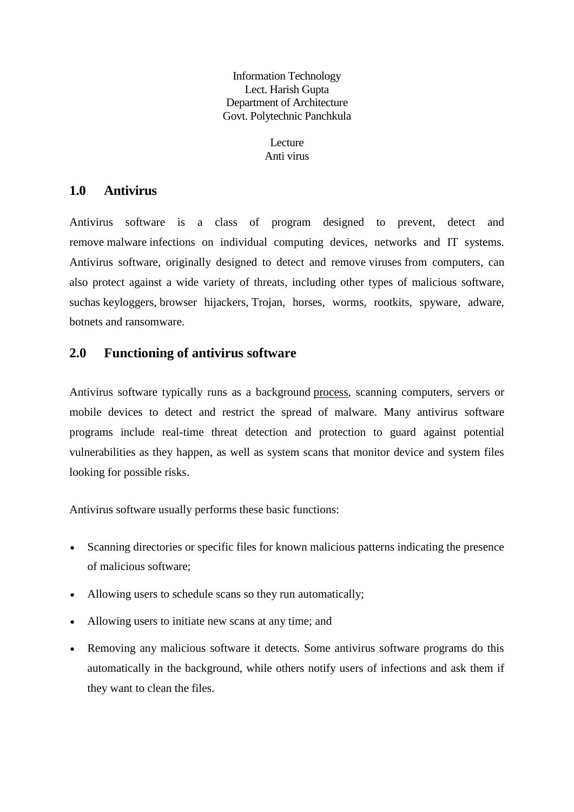Information Technology Lect. Harish Gupta Department of Architecture Govt. Polytechnic Panchkula

> Lecture Anti virus

# **1.0 Antivirus**

Antivirus software is a class of program designed to prevent, detect and remove malware infections on individual computing devices, networks and IT systems. Antivirus software, originally designed to detect and remove viruses from computers, can also protect against a wide variety of threats, including other types of malicious software, suchas keyloggers, browser hijackers, Trojan, horses, worms, rootkits, spyware, adware, botnets and ransomware.

## **2.0 Functioning of antivirus software**

Antivirus software typically runs as a background process, scanning computers, servers or mobile devices to detect and restrict the spread of malware. Many antivirus software programs include real-time threat detection and protection to guard against potential vulnerabilities as they happen, as well as system scans that monitor device and system files looking for possible risks.

Antivirus software usually performs these basic functions:

- Scanning directories or specific files for known malicious patterns indicating the presence of malicious software;
- Allowing users to schedule scans so they run automatically;
- Allowing users to initiate new scans at any time; and
- Removing any malicious software it detects. Some antivirus software programs do this automatically in the background, while others notify users of infections and ask them if they want to clean the files.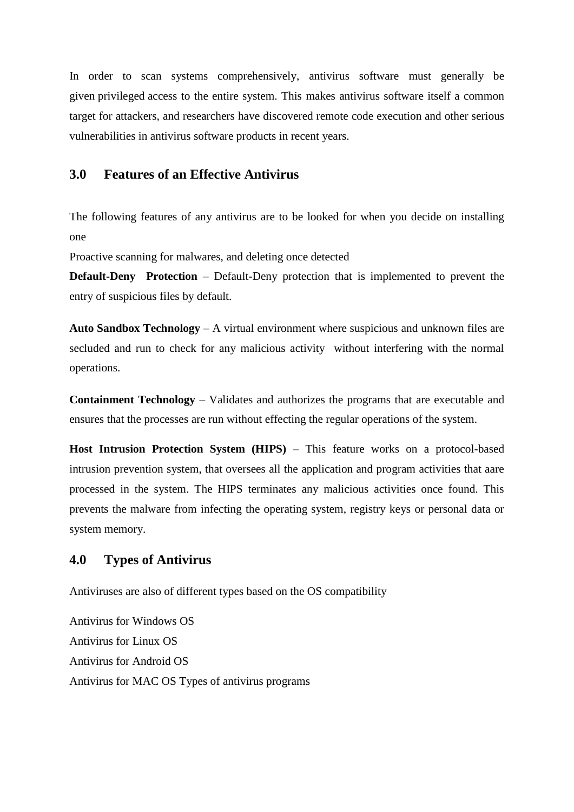In order to scan systems comprehensively, antivirus software must generally be given privileged access to the entire system. This makes antivirus software itself a common target for attackers, and researchers have discovered remote code execution and other serious vulnerabilities in antivirus software products in recent years.

### **3.0 Features of an Effective Antivirus**

The following features of any antivirus are to be looked for when you decide on installing one

Proactive scanning for malwares, and deleting once detected

**Default-Deny Protection** – Default-Deny protection that is implemented to prevent the entry of suspicious files by default.

**Auto Sandbox Technology** – A virtual environment where suspicious and unknown files are secluded and run to check for any malicious activity without interfering with the normal operations.

**Containment Technology** – Validates and authorizes the programs that are executable and ensures that the processes are run without effecting the regular operations of the system.

**Host Intrusion Protection System (HIPS)** – This feature works on a protocol-based intrusion prevention system, that oversees all the application and program activities that aare processed in the system. The HIPS terminates any malicious activities once found. This prevents the malware from infecting the operating system, registry keys or personal data or system memory.

### **4.0 Types of Antivirus**

Antiviruses are also of different types based on the OS compatibility

Antivirus for Windows OS Antivirus for Linux OS Antivirus for Android OS Antivirus for MAC OS Types of antivirus programs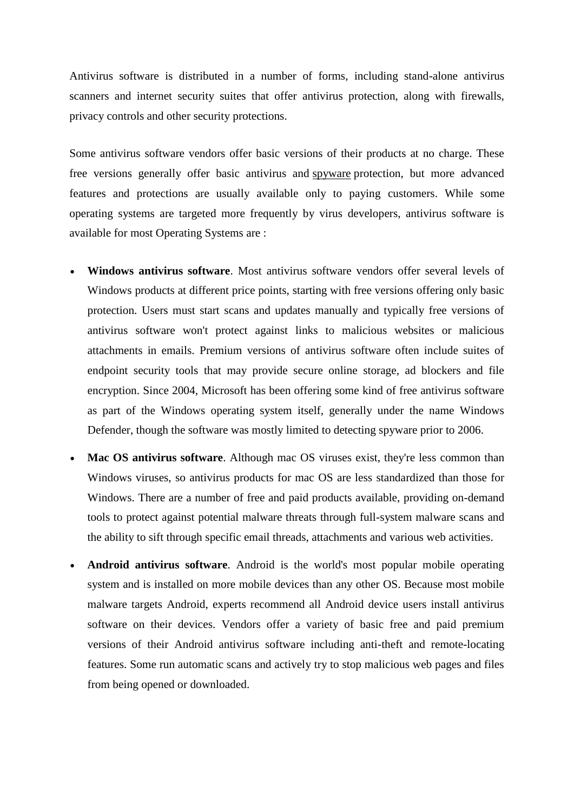Antivirus software is distributed in a number of forms, including stand-alone antivirus scanners and internet security suites that offer antivirus protection, along with firewalls, privacy controls and other security protections.

Some antivirus software vendors offer basic versions of their products at no charge. These free versions generally offer basic antivirus and spyware protection, but more advanced features and protections are usually available only to paying customers. While some operating systems are targeted more frequently by virus developers, antivirus software is available for most Operating Systems are :

- **Windows antivirus software**. Most antivirus software vendors offer several levels of Windows products at different price points, starting with free versions offering only basic protection. Users must start scans and updates manually and typically free versions of antivirus software won't protect against links to malicious websites or malicious attachments in emails. Premium versions of antivirus software often include suites of endpoint security tools that may provide secure online storage, ad blockers and file encryption. Since 2004, Microsoft has been offering some kind of free antivirus software as part of the Windows operating system itself, generally under the name Windows Defender, though the software was mostly limited to detecting spyware prior to 2006.
- **Mac OS antivirus software**. Although mac OS viruses exist, they're less common than Windows viruses, so antivirus products for mac OS are less standardized than those for Windows. There are a number of free and paid products available, providing on-demand tools to protect against potential malware threats through full-system malware scans and the ability to sift through specific email threads, attachments and various web activities.
- **Android antivirus software**. Android is the world's most popular mobile operating system and is installed on more mobile devices than any other OS. Because most mobile malware targets Android, experts recommend all Android device users install antivirus software on their devices. Vendors offer a variety of basic free and paid premium versions of their Android antivirus software including anti-theft and remote-locating features. Some run automatic scans and actively try to stop malicious web pages and files from being opened or downloaded.